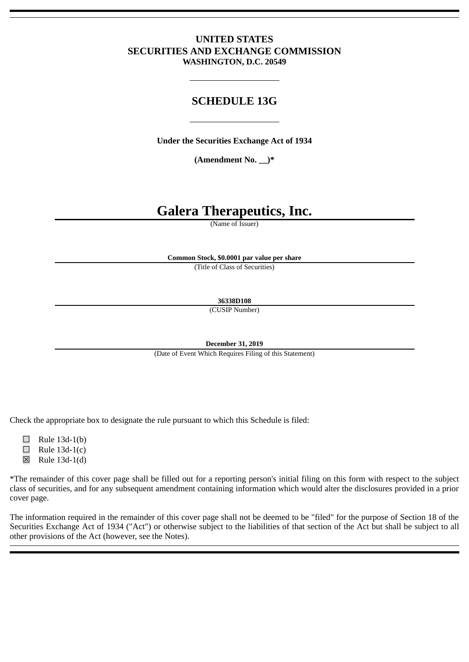# **UNITED STATES SECURITIES AND EXCHANGE COMMISSION WASHINGTON, D.C. 20549**

# **SCHEDULE 13G**

**Under the Securities Exchange Act of 1934**

**(Amendment No. \_\_)\***

# **Galera Therapeutics, Inc.**

(Name of Issuer)

**Common Stock, \$0.0001 par value per share**

(Title of Class of Securities)

**36338D108**

(CUSIP Number)

**December 31, 2019**

(Date of Event Which Requires Filing of this Statement)

Check the appropriate box to designate the rule pursuant to which this Schedule is filed:

 $\Box$  Rule 13d-1(b)

- $\Box$  Rule 13d-1(c)
- $\boxtimes$  Rule 13d-1(d)

\*The remainder of this cover page shall be filled out for a reporting person's initial filing on this form with respect to the subject class of securities, and for any subsequent amendment containing information which would alter the disclosures provided in a prior cover page.

The information required in the remainder of this cover page shall not be deemed to be "filed" for the purpose of Section 18 of the Securities Exchange Act of 1934 ("Act") or otherwise subject to the liabilities of that section of the Act but shall be subject to all other provisions of the Act (however, see the Notes).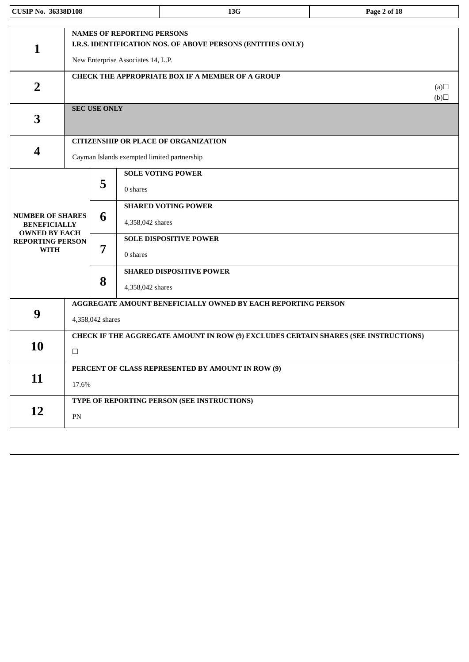| <b>CUSIP No. 36338D108</b>                                             |                                                                                               |                     |                                                                         | 13G                                                                                        | Page 2 of 18     |  |
|------------------------------------------------------------------------|-----------------------------------------------------------------------------------------------|---------------------|-------------------------------------------------------------------------|--------------------------------------------------------------------------------------------|------------------|--|
| $\mathbf 1$                                                            |                                                                                               |                     | <b>NAMES OF REPORTING PERSONS</b><br>New Enterprise Associates 14, L.P. | I.R.S. IDENTIFICATION NOS. OF ABOVE PERSONS (ENTITIES ONLY)                                |                  |  |
| $\overline{2}$                                                         |                                                                                               |                     |                                                                         | <b>CHECK THE APPROPRIATE BOX IF A MEMBER OF A GROUP</b>                                    | (a)<br>$\Box(b)$ |  |
| 3                                                                      |                                                                                               | <b>SEC USE ONLY</b> |                                                                         |                                                                                            |                  |  |
| 4                                                                      |                                                                                               |                     |                                                                         | <b>CITIZENSHIP OR PLACE OF ORGANIZATION</b><br>Cayman Islands exempted limited partnership |                  |  |
|                                                                        |                                                                                               | 5                   | 0 shares                                                                | <b>SOLE VOTING POWER</b>                                                                   |                  |  |
| <b>NUMBER OF SHARES</b><br><b>BENEFICIALLY</b><br><b>OWNED BY EACH</b> |                                                                                               | 6                   | 4,358,042 shares                                                        | <b>SHARED VOTING POWER</b>                                                                 |                  |  |
| <b>REPORTING PERSON</b><br><b>WITH</b>                                 |                                                                                               | 7                   | 0 shares                                                                | <b>SOLE DISPOSITIVE POWER</b>                                                              |                  |  |
|                                                                        |                                                                                               | 8                   | 4,358,042 shares                                                        | <b>SHARED DISPOSITIVE POWER</b>                                                            |                  |  |
| 9                                                                      | AGGREGATE AMOUNT BENEFICIALLY OWNED BY EACH REPORTING PERSON<br>4,358,042 shares              |                     |                                                                         |                                                                                            |                  |  |
| <b>10</b>                                                              | CHECK IF THE AGGREGATE AMOUNT IN ROW (9) EXCLUDES CERTAIN SHARES (SEE INSTRUCTIONS)<br>$\Box$ |                     |                                                                         |                                                                                            |                  |  |
| 11                                                                     | PERCENT OF CLASS REPRESENTED BY AMOUNT IN ROW (9)<br>17.6%                                    |                     |                                                                         |                                                                                            |                  |  |
| <b>12</b>                                                              | TYPE OF REPORTING PERSON (SEE INSTRUCTIONS)<br>${\rm PN}$                                     |                     |                                                                         |                                                                                            |                  |  |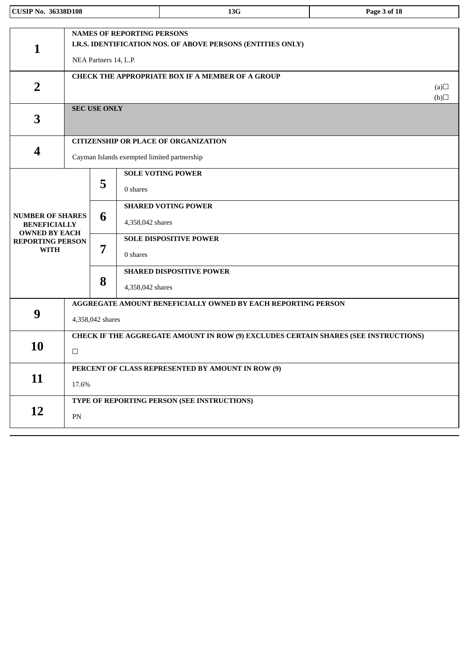| <b>CUSIP No. 36338D108</b>                                             |                                                                                               |                                             |                                   | 13G                                                                                        | Page 3 of 18     |  |  |
|------------------------------------------------------------------------|-----------------------------------------------------------------------------------------------|---------------------------------------------|-----------------------------------|--------------------------------------------------------------------------------------------|------------------|--|--|
| 1                                                                      |                                                                                               | NEA Partners 14, L.P.                       | <b>NAMES OF REPORTING PERSONS</b> | I.R.S. IDENTIFICATION NOS. OF ABOVE PERSONS (ENTITIES ONLY)                                |                  |  |  |
| $\overline{2}$                                                         |                                                                                               |                                             |                                   | <b>CHECK THE APPROPRIATE BOX IF A MEMBER OF A GROUP</b>                                    | (a)<br>$\Box(b)$ |  |  |
| 3                                                                      |                                                                                               | <b>SEC USE ONLY</b>                         |                                   |                                                                                            |                  |  |  |
| 4                                                                      |                                                                                               |                                             |                                   | <b>CITIZENSHIP OR PLACE OF ORGANIZATION</b><br>Cayman Islands exempted limited partnership |                  |  |  |
|                                                                        | 5                                                                                             |                                             | 0 shares                          | <b>SOLE VOTING POWER</b>                                                                   |                  |  |  |
| <b>NUMBER OF SHARES</b><br><b>BENEFICIALLY</b><br><b>OWNED BY EACH</b> |                                                                                               | 6                                           | 4,358,042 shares                  | <b>SHARED VOTING POWER</b>                                                                 |                  |  |  |
| <b>REPORTING PERSON</b><br><b>WITH</b>                                 |                                                                                               | 7                                           | 0 shares                          | <b>SOLE DISPOSITIVE POWER</b>                                                              |                  |  |  |
|                                                                        |                                                                                               | 8                                           | 4,358,042 shares                  | <b>SHARED DISPOSITIVE POWER</b>                                                            |                  |  |  |
| 9                                                                      | <b>AGGREGATE AMOUNT BENEFICIALLY OWNED BY EACH REPORTING PERSON</b><br>4,358,042 shares       |                                             |                                   |                                                                                            |                  |  |  |
| <b>10</b>                                                              | CHECK IF THE AGGREGATE AMOUNT IN ROW (9) EXCLUDES CERTAIN SHARES (SEE INSTRUCTIONS)<br>$\Box$ |                                             |                                   |                                                                                            |                  |  |  |
| 11                                                                     | PERCENT OF CLASS REPRESENTED BY AMOUNT IN ROW (9)<br>17.6%                                    |                                             |                                   |                                                                                            |                  |  |  |
| <b>12</b>                                                              | ${\rm PN}$                                                                                    | TYPE OF REPORTING PERSON (SEE INSTRUCTIONS) |                                   |                                                                                            |                  |  |  |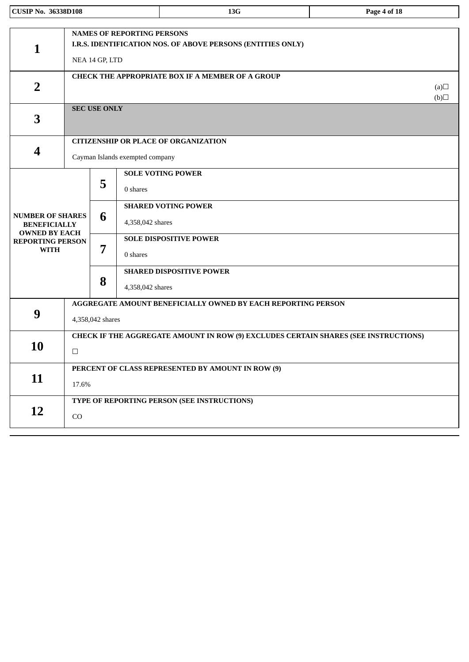| <b>CUSIP No. 36338D108</b>                                             |                                                                                               |                     |                                   | 13G                                                         | Page 4 of 18 |  |
|------------------------------------------------------------------------|-----------------------------------------------------------------------------------------------|---------------------|-----------------------------------|-------------------------------------------------------------|--------------|--|
| 1                                                                      |                                                                                               | NEA 14 GP, LTD      | <b>NAMES OF REPORTING PERSONS</b> | I.R.S. IDENTIFICATION NOS. OF ABOVE PERSONS (ENTITIES ONLY) |              |  |
| $\overline{2}$                                                         |                                                                                               |                     |                                   | <b>CHECK THE APPROPRIATE BOX IF A MEMBER OF A GROUP</b>     | (a)<br>(b)   |  |
| 3                                                                      |                                                                                               | <b>SEC USE ONLY</b> |                                   |                                                             |              |  |
| $\overline{\mathbf{4}}$                                                |                                                                                               |                     | Cayman Islands exempted company   | <b>CITIZENSHIP OR PLACE OF ORGANIZATION</b>                 |              |  |
|                                                                        | 5<br>6<br>7<br>8                                                                              |                     | 0 shares                          | <b>SOLE VOTING POWER</b>                                    |              |  |
| <b>NUMBER OF SHARES</b><br><b>BENEFICIALLY</b><br><b>OWNED BY EACH</b> |                                                                                               |                     | 4,358,042 shares                  | <b>SHARED VOTING POWER</b>                                  |              |  |
| <b>REPORTING PERSON</b><br><b>WITH</b>                                 |                                                                                               |                     | 0 shares                          | <b>SOLE DISPOSITIVE POWER</b>                               |              |  |
|                                                                        |                                                                                               |                     | 4,358,042 shares                  | <b>SHARED DISPOSITIVE POWER</b>                             |              |  |
| 9                                                                      | AGGREGATE AMOUNT BENEFICIALLY OWNED BY EACH REPORTING PERSON<br>4,358,042 shares              |                     |                                   |                                                             |              |  |
| <b>10</b>                                                              | CHECK IF THE AGGREGATE AMOUNT IN ROW (9) EXCLUDES CERTAIN SHARES (SEE INSTRUCTIONS)<br>$\Box$ |                     |                                   |                                                             |              |  |
| 11                                                                     | PERCENT OF CLASS REPRESENTED BY AMOUNT IN ROW (9)<br>17.6%                                    |                     |                                   |                                                             |              |  |
| 12                                                                     | TYPE OF REPORTING PERSON (SEE INSTRUCTIONS)<br>CO                                             |                     |                                   |                                                             |              |  |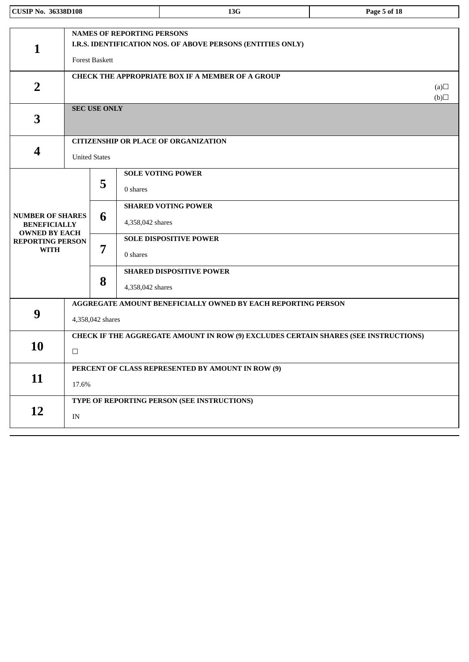| <b>CUSIP No. 36338D108</b>                                             |                                                              |                                                                                     |                                   | 13G                                                         | Page 5 of 18     |  |  |  |
|------------------------------------------------------------------------|--------------------------------------------------------------|-------------------------------------------------------------------------------------|-----------------------------------|-------------------------------------------------------------|------------------|--|--|--|
|                                                                        |                                                              |                                                                                     |                                   |                                                             |                  |  |  |  |
| $\mathbf{1}$                                                           |                                                              | <b>Forest Baskett</b>                                                               | <b>NAMES OF REPORTING PERSONS</b> | I.R.S. IDENTIFICATION NOS. OF ABOVE PERSONS (ENTITIES ONLY) |                  |  |  |  |
| $\overline{2}$                                                         |                                                              |                                                                                     |                                   | <b>CHECK THE APPROPRIATE BOX IF A MEMBER OF A GROUP</b>     | (a)<br>$\Box(b)$ |  |  |  |
| 3                                                                      |                                                              | <b>SEC USE ONLY</b>                                                                 |                                   |                                                             |                  |  |  |  |
|                                                                        |                                                              |                                                                                     |                                   | <b>CITIZENSHIP OR PLACE OF ORGANIZATION</b>                 |                  |  |  |  |
| 4                                                                      |                                                              | <b>United States</b>                                                                |                                   |                                                             |                  |  |  |  |
|                                                                        | 5                                                            |                                                                                     | 0 shares                          | <b>SOLE VOTING POWER</b>                                    |                  |  |  |  |
| <b>NUMBER OF SHARES</b><br><b>BENEFICIALLY</b><br><b>OWNED BY EACH</b> |                                                              | 6                                                                                   | 4,358,042 shares                  | <b>SHARED VOTING POWER</b>                                  |                  |  |  |  |
| <b>REPORTING PERSON</b><br><b>WITH</b>                                 |                                                              | 7                                                                                   | 0 shares                          | <b>SOLE DISPOSITIVE POWER</b>                               |                  |  |  |  |
|                                                                        |                                                              | 8                                                                                   | 4,358,042 shares                  | <b>SHARED DISPOSITIVE POWER</b>                             |                  |  |  |  |
|                                                                        | AGGREGATE AMOUNT BENEFICIALLY OWNED BY EACH REPORTING PERSON |                                                                                     |                                   |                                                             |                  |  |  |  |
| 9                                                                      | 4,358,042 shares                                             |                                                                                     |                                   |                                                             |                  |  |  |  |
|                                                                        |                                                              | CHECK IF THE AGGREGATE AMOUNT IN ROW (9) EXCLUDES CERTAIN SHARES (SEE INSTRUCTIONS) |                                   |                                                             |                  |  |  |  |
| <b>10</b>                                                              | $\Box$                                                       |                                                                                     |                                   |                                                             |                  |  |  |  |
|                                                                        |                                                              |                                                                                     |                                   | PERCENT OF CLASS REPRESENTED BY AMOUNT IN ROW (9)           |                  |  |  |  |
| 11                                                                     | 17.6%                                                        |                                                                                     |                                   |                                                             |                  |  |  |  |
|                                                                        |                                                              |                                                                                     |                                   | TYPE OF REPORTING PERSON (SEE INSTRUCTIONS)                 |                  |  |  |  |
| 12                                                                     | IN                                                           |                                                                                     |                                   |                                                             |                  |  |  |  |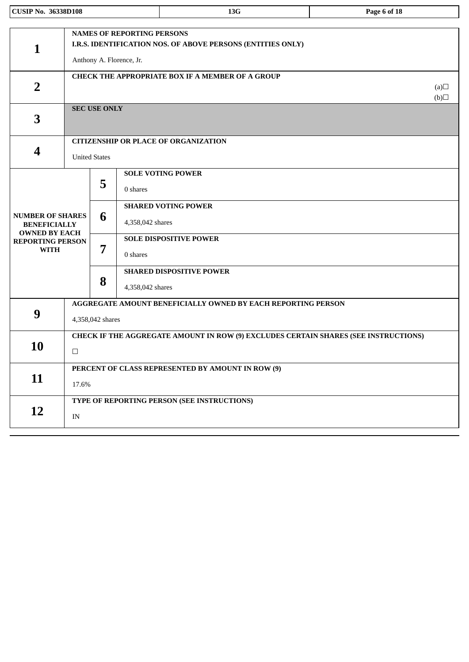| <b>CUSIP No. 36338D108</b>                                             |                                                                                               |                                             |                                                               | 13G                                                         | Page 6 of 18     |  |
|------------------------------------------------------------------------|-----------------------------------------------------------------------------------------------|---------------------------------------------|---------------------------------------------------------------|-------------------------------------------------------------|------------------|--|
| $\mathbf{1}$                                                           |                                                                                               |                                             | <b>NAMES OF REPORTING PERSONS</b><br>Anthony A. Florence, Jr. | I.R.S. IDENTIFICATION NOS. OF ABOVE PERSONS (ENTITIES ONLY) |                  |  |
| $\overline{2}$                                                         |                                                                                               |                                             |                                                               | <b>CHECK THE APPROPRIATE BOX IF A MEMBER OF A GROUP</b>     | (a)<br>$\Box(b)$ |  |
| 3                                                                      |                                                                                               | <b>SEC USE ONLY</b>                         |                                                               |                                                             |                  |  |
| 4                                                                      |                                                                                               | <b>United States</b>                        |                                                               | <b>CITIZENSHIP OR PLACE OF ORGANIZATION</b>                 |                  |  |
|                                                                        | 6<br>7<br>8                                                                                   | 5                                           | 0 shares                                                      | <b>SOLE VOTING POWER</b>                                    |                  |  |
| <b>NUMBER OF SHARES</b><br><b>BENEFICIALLY</b><br><b>OWNED BY EACH</b> |                                                                                               |                                             | 4,358,042 shares                                              | <b>SHARED VOTING POWER</b>                                  |                  |  |
| <b>REPORTING PERSON</b><br><b>WITH</b>                                 |                                                                                               |                                             | 0 shares                                                      | <b>SOLE DISPOSITIVE POWER</b>                               |                  |  |
|                                                                        |                                                                                               |                                             | 4,358,042 shares                                              | <b>SHARED DISPOSITIVE POWER</b>                             |                  |  |
| 9                                                                      | AGGREGATE AMOUNT BENEFICIALLY OWNED BY EACH REPORTING PERSON<br>4,358,042 shares              |                                             |                                                               |                                                             |                  |  |
| 10                                                                     | CHECK IF THE AGGREGATE AMOUNT IN ROW (9) EXCLUDES CERTAIN SHARES (SEE INSTRUCTIONS)<br>$\Box$ |                                             |                                                               |                                                             |                  |  |
| 11                                                                     | PERCENT OF CLASS REPRESENTED BY AMOUNT IN ROW (9)<br>17.6%                                    |                                             |                                                               |                                                             |                  |  |
| <b>12</b>                                                              | IN                                                                                            | TYPE OF REPORTING PERSON (SEE INSTRUCTIONS) |                                                               |                                                             |                  |  |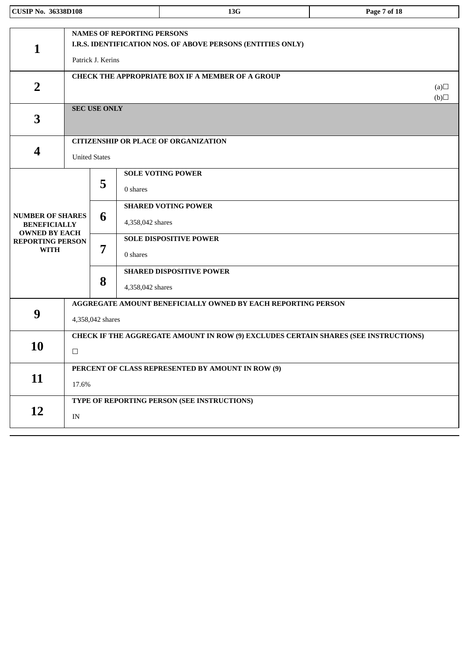| <b>CUSIP No. 36338D108</b>                                                            |                                                                                               |                                                                                  |                                   | 13G                                                         | Page 7 of 18     |  |  |
|---------------------------------------------------------------------------------------|-----------------------------------------------------------------------------------------------|----------------------------------------------------------------------------------|-----------------------------------|-------------------------------------------------------------|------------------|--|--|
| 1                                                                                     |                                                                                               | Patrick J. Kerins                                                                | <b>NAMES OF REPORTING PERSONS</b> | I.R.S. IDENTIFICATION NOS. OF ABOVE PERSONS (ENTITIES ONLY) |                  |  |  |
| $\overline{2}$                                                                        |                                                                                               |                                                                                  |                                   | <b>CHECK THE APPROPRIATE BOX IF A MEMBER OF A GROUP</b>     | (a)<br>$\Box(b)$ |  |  |
| 3                                                                                     |                                                                                               | <b>SEC USE ONLY</b>                                                              |                                   |                                                             |                  |  |  |
| $\overline{\mathbf{4}}$                                                               |                                                                                               | <b>United States</b>                                                             |                                   | <b>CITIZENSHIP OR PLACE OF ORGANIZATION</b>                 |                  |  |  |
| <b>NUMBER OF SHARES</b>                                                               |                                                                                               | 5<br>6                                                                           | 0 shares                          | <b>SOLE VOTING POWER</b><br><b>SHARED VOTING POWER</b>      |                  |  |  |
| <b>BENEFICIALLY</b><br><b>OWNED BY EACH</b><br><b>REPORTING PERSON</b><br><b>WITH</b> |                                                                                               | 7                                                                                | 4,358,042 shares<br>0 shares      | <b>SOLE DISPOSITIVE POWER</b>                               |                  |  |  |
|                                                                                       |                                                                                               | 8                                                                                | 4,358,042 shares                  | <b>SHARED DISPOSITIVE POWER</b>                             |                  |  |  |
| 9                                                                                     |                                                                                               | AGGREGATE AMOUNT BENEFICIALLY OWNED BY EACH REPORTING PERSON<br>4,358,042 shares |                                   |                                                             |                  |  |  |
| <b>10</b>                                                                             | CHECK IF THE AGGREGATE AMOUNT IN ROW (9) EXCLUDES CERTAIN SHARES (SEE INSTRUCTIONS)<br>$\Box$ |                                                                                  |                                   |                                                             |                  |  |  |
| 11                                                                                    | PERCENT OF CLASS REPRESENTED BY AMOUNT IN ROW (9)<br>17.6%                                    |                                                                                  |                                   |                                                             |                  |  |  |
| 12                                                                                    | TYPE OF REPORTING PERSON (SEE INSTRUCTIONS)<br>IN                                             |                                                                                  |                                   |                                                             |                  |  |  |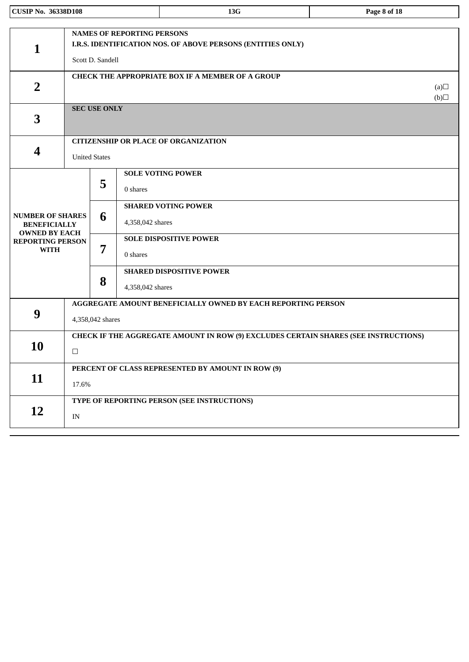| <b>CUSIP No. 36338D108</b>                                             |                                                                                                                      |                                                                                     |                  | 13G                                                     | Page 8 of 18     |  |  |  |
|------------------------------------------------------------------------|----------------------------------------------------------------------------------------------------------------------|-------------------------------------------------------------------------------------|------------------|---------------------------------------------------------|------------------|--|--|--|
|                                                                        |                                                                                                                      |                                                                                     |                  |                                                         |                  |  |  |  |
| $\mathbf{1}$                                                           | <b>NAMES OF REPORTING PERSONS</b><br>I.R.S. IDENTIFICATION NOS. OF ABOVE PERSONS (ENTITIES ONLY)<br>Scott D. Sandell |                                                                                     |                  |                                                         |                  |  |  |  |
| $\overline{2}$                                                         |                                                                                                                      |                                                                                     |                  | <b>CHECK THE APPROPRIATE BOX IF A MEMBER OF A GROUP</b> | (a)<br>$\Box(b)$ |  |  |  |
| 3                                                                      |                                                                                                                      | <b>SEC USE ONLY</b>                                                                 |                  |                                                         |                  |  |  |  |
|                                                                        |                                                                                                                      |                                                                                     |                  | <b>CITIZENSHIP OR PLACE OF ORGANIZATION</b>             |                  |  |  |  |
| 4                                                                      |                                                                                                                      | <b>United States</b>                                                                |                  |                                                         |                  |  |  |  |
|                                                                        |                                                                                                                      | 5                                                                                   | 0 shares         | <b>SOLE VOTING POWER</b>                                |                  |  |  |  |
| <b>NUMBER OF SHARES</b><br><b>BENEFICIALLY</b><br><b>OWNED BY EACH</b> |                                                                                                                      | 6                                                                                   | 4,358,042 shares | <b>SHARED VOTING POWER</b>                              |                  |  |  |  |
| <b>REPORTING PERSON</b><br><b>WITH</b>                                 |                                                                                                                      | 7                                                                                   | 0 shares         | <b>SOLE DISPOSITIVE POWER</b>                           |                  |  |  |  |
|                                                                        |                                                                                                                      | 8                                                                                   | 4,358,042 shares | <b>SHARED DISPOSITIVE POWER</b>                         |                  |  |  |  |
|                                                                        | <b>AGGREGATE AMOUNT BENEFICIALLY OWNED BY EACH REPORTING PERSON</b>                                                  |                                                                                     |                  |                                                         |                  |  |  |  |
| 9                                                                      | 4,358,042 shares                                                                                                     |                                                                                     |                  |                                                         |                  |  |  |  |
|                                                                        |                                                                                                                      | CHECK IF THE AGGREGATE AMOUNT IN ROW (9) EXCLUDES CERTAIN SHARES (SEE INSTRUCTIONS) |                  |                                                         |                  |  |  |  |
| <b>10</b>                                                              | $\Box$                                                                                                               |                                                                                     |                  |                                                         |                  |  |  |  |
|                                                                        |                                                                                                                      |                                                                                     |                  | PERCENT OF CLASS REPRESENTED BY AMOUNT IN ROW (9)       |                  |  |  |  |
| 11                                                                     | 17.6%                                                                                                                |                                                                                     |                  |                                                         |                  |  |  |  |
|                                                                        |                                                                                                                      |                                                                                     |                  | TYPE OF REPORTING PERSON (SEE INSTRUCTIONS)             |                  |  |  |  |
| 12                                                                     | IN                                                                                                                   |                                                                                     |                  |                                                         |                  |  |  |  |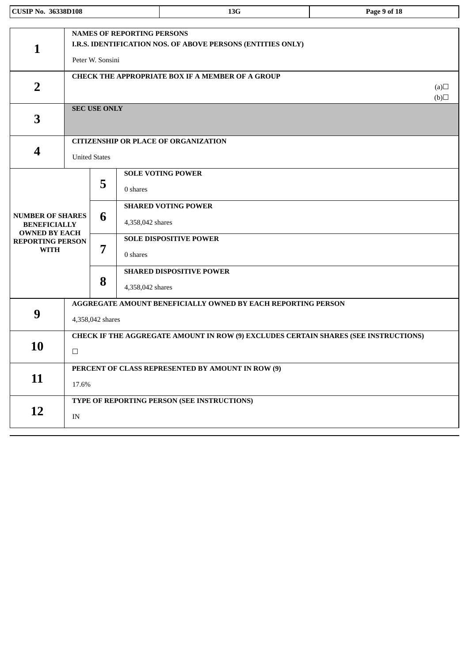| <b>CUSIP No. 36338D108</b>                                             |                                                            |                                                                                  |                                   | 13G                                                                                 | Page 9 of 18     |  |  |
|------------------------------------------------------------------------|------------------------------------------------------------|----------------------------------------------------------------------------------|-----------------------------------|-------------------------------------------------------------------------------------|------------------|--|--|
| $\mathbf 1$                                                            |                                                            | Peter W. Sonsini                                                                 | <b>NAMES OF REPORTING PERSONS</b> | I.R.S. IDENTIFICATION NOS. OF ABOVE PERSONS (ENTITIES ONLY)                         |                  |  |  |
| $\overline{2}$                                                         |                                                            |                                                                                  |                                   | <b>CHECK THE APPROPRIATE BOX IF A MEMBER OF A GROUP</b>                             | (a)<br>$\Box(b)$ |  |  |
| 3                                                                      |                                                            | <b>SEC USE ONLY</b>                                                              |                                   |                                                                                     |                  |  |  |
| 4                                                                      |                                                            | <b>United States</b>                                                             |                                   | <b>CITIZENSHIP OR PLACE OF ORGANIZATION</b>                                         |                  |  |  |
|                                                                        | 5                                                          |                                                                                  | 0 shares                          | <b>SOLE VOTING POWER</b>                                                            |                  |  |  |
| <b>NUMBER OF SHARES</b><br><b>BENEFICIALLY</b><br><b>OWNED BY EACH</b> |                                                            | 6                                                                                | 4,358,042 shares                  | <b>SHARED VOTING POWER</b>                                                          |                  |  |  |
| <b>REPORTING PERSON</b><br><b>WITH</b>                                 |                                                            | 7                                                                                | 0 shares                          | <b>SOLE DISPOSITIVE POWER</b>                                                       |                  |  |  |
|                                                                        |                                                            | 8                                                                                | 4,358,042 shares                  | <b>SHARED DISPOSITIVE POWER</b>                                                     |                  |  |  |
| 9                                                                      |                                                            | AGGREGATE AMOUNT BENEFICIALLY OWNED BY EACH REPORTING PERSON<br>4,358,042 shares |                                   |                                                                                     |                  |  |  |
| 10                                                                     | $\Box$                                                     |                                                                                  |                                   | CHECK IF THE AGGREGATE AMOUNT IN ROW (9) EXCLUDES CERTAIN SHARES (SEE INSTRUCTIONS) |                  |  |  |
| 11                                                                     | PERCENT OF CLASS REPRESENTED BY AMOUNT IN ROW (9)<br>17.6% |                                                                                  |                                   |                                                                                     |                  |  |  |
| 12                                                                     | IN                                                         | TYPE OF REPORTING PERSON (SEE INSTRUCTIONS)                                      |                                   |                                                                                     |                  |  |  |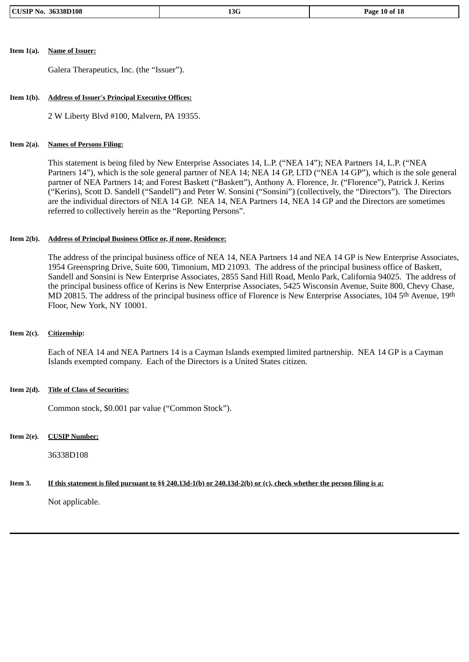#### **Item 1(a). Name of Issuer:**

Galera Therapeutics, Inc. (the "Issuer").

#### **Item 1(b). Address of Issuer's Principal Executive Offices:**

2 W Liberty Blvd #100, Malvern, PA 19355.

#### **Item 2(a). Names of Persons Filing:**

This statement is being filed by New Enterprise Associates 14, L.P. ("NEA 14"); NEA Partners 14, L.P. ("NEA Partners 14"), which is the sole general partner of NEA 14; NEA 14 GP, LTD ("NEA 14 GP"), which is the sole general partner of NEA Partners 14; and Forest Baskett ("Baskett"), Anthony A. Florence, Jr. ("Florence"), Patrick J. Kerins ("Kerins), Scott D. Sandell ("Sandell") and Peter W. Sonsini ("Sonsini") (collectively, the "Directors"). The Directors are the individual directors of NEA 14 GP. NEA 14, NEA Partners 14, NEA 14 GP and the Directors are sometimes referred to collectively herein as the "Reporting Persons".

#### **Item 2(b). Address of Principal Business Office or, if none, Residence:**

The address of the principal business office of NEA 14, NEA Partners 14 and NEA 14 GP is New Enterprise Associates, 1954 Greenspring Drive, Suite 600, Timonium, MD 21093. The address of the principal business office of Baskett, Sandell and Sonsini is New Enterprise Associates, 2855 Sand Hill Road, Menlo Park, California 94025. The address of the principal business office of Kerins is New Enterprise Associates, 5425 Wisconsin Avenue, Suite 800, Chevy Chase, MD 20815. The address of the principal business office of Florence is New Enterprise Associates, 104 5th Avenue, 19th Floor, New York, NY 10001.

#### **Item 2(c). Citizenship:**

Each of NEA 14 and NEA Partners 14 is a Cayman Islands exempted limited partnership. NEA 14 GP is a Cayman Islands exempted company. Each of the Directors is a United States citizen.

#### **Item 2(d). Title of Class of Securities:**

Common stock, \$0.001 par value ("Common Stock").

#### **Item 2(e). CUSIP Number:**

36338D108

#### Item 3. If this statement is filed pursuant to §§ 240.13d-1(b) or 240.13d-2(b) or (c), check whether the person filing is a:

Not applicable.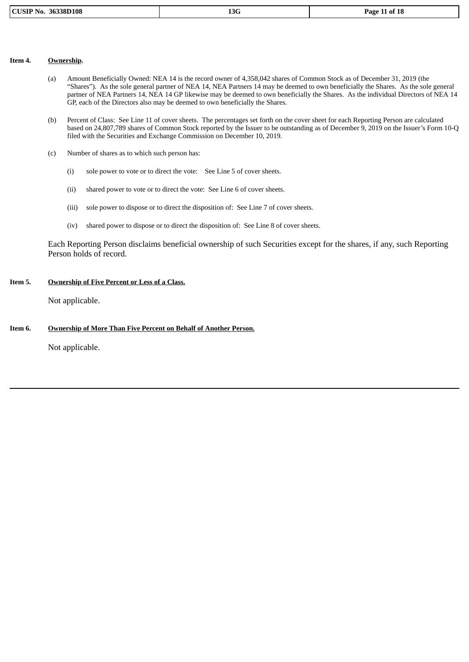|  | <b>CUSIP No. 36338D108</b> |
|--|----------------------------|
|--|----------------------------|

#### **Item 4. Ownership.**

- (a) Amount Beneficially Owned: NEA 14 is the record owner of 4,358,042 shares of Common Stock as of December 31, 2019 (the "Shares"). As the sole general partner of NEA 14, NEA Partners 14 may be deemed to own beneficially the Shares. As the sole general partner of NEA Partners 14, NEA 14 GP likewise may be deemed to own beneficially the Shares. As the individual Directors of NEA 14 GP, each of the Directors also may be deemed to own beneficially the Shares.
- (b) Percent of Class: See Line 11 of cover sheets. The percentages set forth on the cover sheet for each Reporting Person are calculated based on 24,807,789 shares of Common Stock reported by the Issuer to be outstanding as of December 9, 2019 on the Issuer's Form 10-Q filed with the Securities and Exchange Commission on December 10, 2019.
- (c) Number of shares as to which such person has:
	- (i) sole power to vote or to direct the vote: See Line 5 of cover sheets.
	- (ii) shared power to vote or to direct the vote: See Line 6 of cover sheets.
	- (iii) sole power to dispose or to direct the disposition of: See Line 7 of cover sheets.
	- (iv) shared power to dispose or to direct the disposition of: See Line 8 of cover sheets.

Each Reporting Person disclaims beneficial ownership of such Securities except for the shares, if any, such Reporting Person holds of record.

### **Item 5. Ownership of Five Percent or Less of a Class.**

Not applicable.

## **Item 6. Ownership of More Than Five Percent on Behalf of Another Person.**

Not applicable.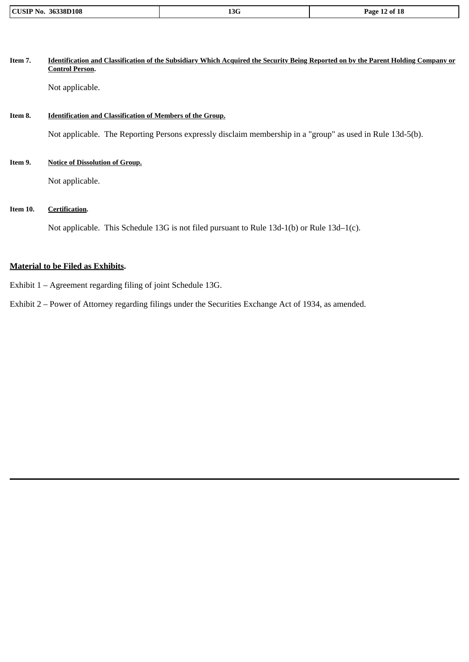| 36338D108<br>CUST<br>No. | 13G | ! of 18<br>Page |
|--------------------------|-----|-----------------|

| Item 7. | Identification and Classification of the Subsidiary Which Acquired the Security Being Reported on by the Parent Holding Company or<br><b>Control Person.</b> |
|---------|--------------------------------------------------------------------------------------------------------------------------------------------------------------|
|         | Not applicable.                                                                                                                                              |
|         |                                                                                                                                                              |

# **Item 8. Identification and Classification of Members of the Group.**

Not applicable. The Reporting Persons expressly disclaim membership in a "group" as used in Rule 13d-5(b).

**Item 9. Notice of Dissolution of Group.**

Not applicable.

## **Item 10. Certification.**

Not applicable. This Schedule 13G is not filed pursuant to Rule 13d-1(b) or Rule 13d-1(c).

# **Material to be Filed as Exhibits.**

Exhibit 1 – Agreement regarding filing of joint Schedule 13G.

Exhibit 2 – Power of Attorney regarding filings under the Securities Exchange Act of 1934, as amended.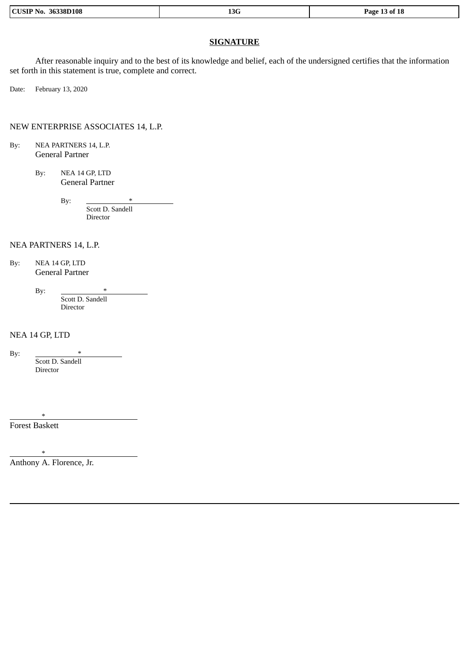| 36338D108<br>$\overline{C}$<br>NO.<br>ы. | 13G | 18<br>3 ot<br>Page |
|------------------------------------------|-----|--------------------|
|                                          |     |                    |

## **SIGNATURE**

After reasonable inquiry and to the best of its knowledge and belief, each of the undersigned certifies that the information set forth in this statement is true, complete and correct.

Date: February 13, 2020

NEW ENTERPRISE ASSOCIATES 14, L.P.

By: NEA PARTNERS 14, L.P. General Partner

> By: NEA 14 GP, LTD General Partner

> > By:  $*$ Scott D. Sandell Director

NEA PARTNERS 14, L.P.

By: NEA 14 GP, LTD General Partner

By:  $*$ 

Scott D. Sandell Director

NEA 14 GP, LTD

By: Scott D. Sandell Director

Forest Baskett

\*

\*

Anthony A. Florence, Jr.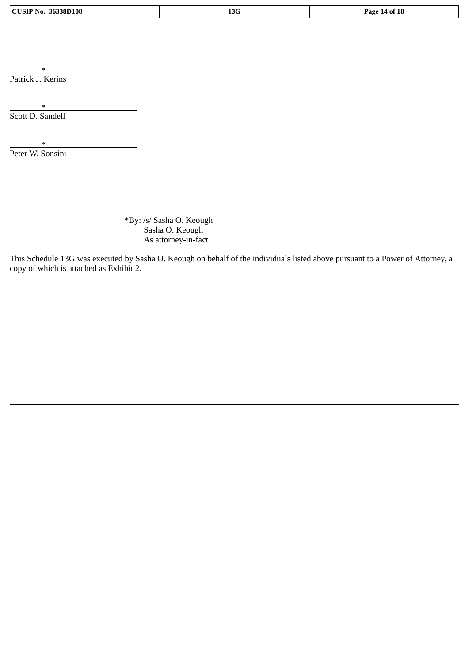\* Patrick J. Kerins

\* Scott D. Sandell

\* Peter W. Sonsini

\*By: /s/ Sasha O. Keough Sasha O. Keough As attorney-in-fact

This Schedule 13G was executed by Sasha O. Keough on behalf of the individuals listed above pursuant to a Power of Attorney, a copy of which is attached as Exhibit 2.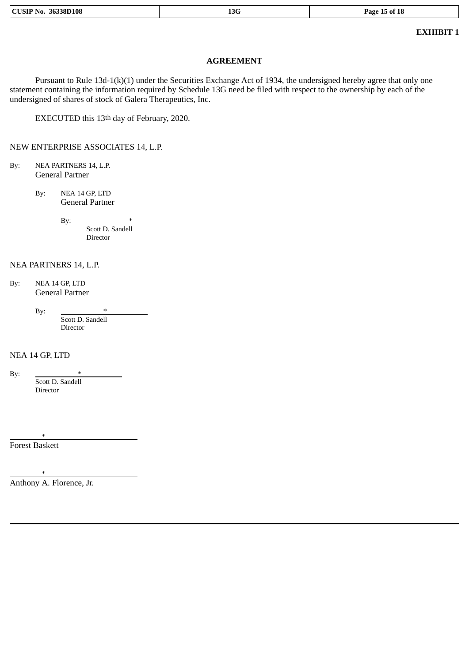| <b>13G</b><br>108<br>'age<br>n 1<br>NN<br>.הה<br>וחר<br>,,<br>- 0<br>$-$ |
|--------------------------------------------------------------------------|
|--------------------------------------------------------------------------|

# **EXHIBIT 1**

## **AGREEMENT**

Pursuant to Rule 13d-1(k)(1) under the Securities Exchange Act of 1934, the undersigned hereby agree that only one statement containing the information required by Schedule 13G need be filed with respect to the ownership by each of the undersigned of shares of stock of Galera Therapeutics, Inc.

EXECUTED this 13th day of February, 2020.

NEW ENTERPRISE ASSOCIATES 14, L.P.

- By: NEA PARTNERS 14, L.P. General Partner
	- By: NEA 14 GP, LTD General Partner

By:  $*$ 

Scott D. Sandell Director

## NEA PARTNERS 14, L.P.

By: NEA 14 GP, LTD General Partner

By:

Scott D. Sandell Director

## NEA 14 GP, LTD

By:  $*$ 

Scott D. Sandell Director

\*

Forest Baskett

\* Anthony A. Florence, Jr.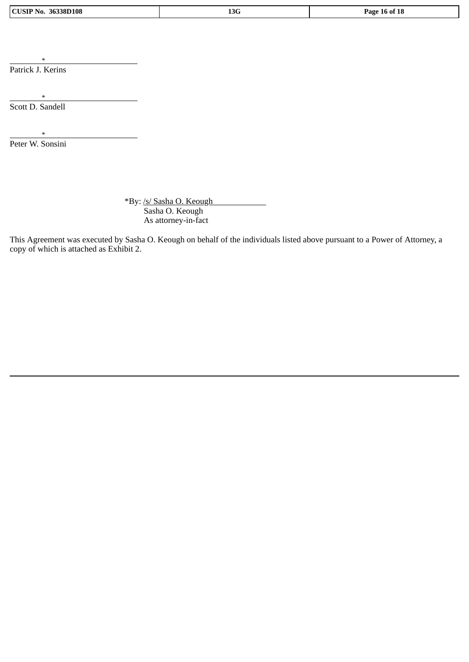|  | <b>CUSIP No. 36338D108</b> |
|--|----------------------------|
|--|----------------------------|

\* Patrick J. Kerins

\* Scott D. Sandell

\* Peter W. Sonsini

> \*By: /s/ Sasha O. Keough Sasha O. Keough As attorney-in-fact

This Agreement was executed by Sasha O. Keough on behalf of the individuals listed above pursuant to a Power of Attorney, a copy of which is attached as Exhibit 2.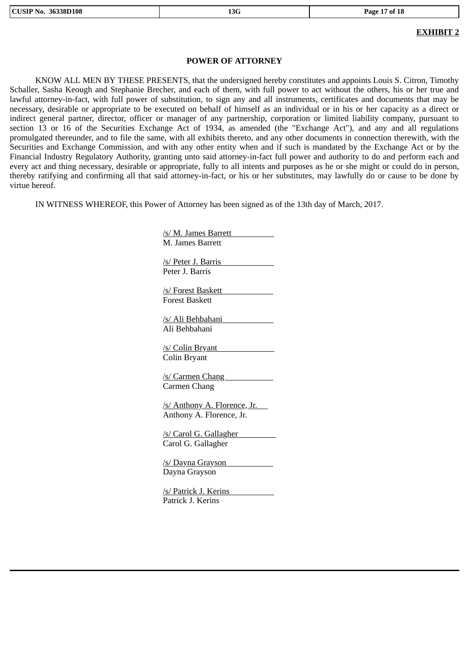## **EXHIBIT 2**

## **POWER OF ATTORNEY**

KNOW ALL MEN BY THESE PRESENTS, that the undersigned hereby constitutes and appoints Louis S. Citron, Timothy Schaller, Sasha Keough and Stephanie Brecher, and each of them, with full power to act without the others, his or her true and lawful attorney-in-fact, with full power of substitution, to sign any and all instruments, certificates and documents that may be necessary, desirable or appropriate to be executed on behalf of himself as an individual or in his or her capacity as a direct or indirect general partner, director, officer or manager of any partnership, corporation or limited liability company, pursuant to section 13 or 16 of the Securities Exchange Act of 1934, as amended (the "Exchange Act"), and any and all regulations promulgated thereunder, and to file the same, with all exhibits thereto, and any other documents in connection therewith, with the Securities and Exchange Commission, and with any other entity when and if such is mandated by the Exchange Act or by the Financial Industry Regulatory Authority, granting unto said attorney-in-fact full power and authority to do and perform each and every act and thing necessary, desirable or appropriate, fully to all intents and purposes as he or she might or could do in person, thereby ratifying and confirming all that said attorney-in-fact, or his or her substitutes, may lawfully do or cause to be done by virtue hereof.

IN WITNESS WHEREOF, this Power of Attorney has been signed as of the 13th day of March, 2017.

/s/ M. James Barrett M. James Barrett /s/ Peter J. Barris Peter J. Barris /s/ Forest Baskett Forest Baskett /s/ Ali Behbahani Ali Behbahani /s/ Colin Bryant Colin Bryant /s/ Carmen Chang Carmen Chang /s/ Anthony A. Florence, Jr. Anthony A. Florence, Jr. /s/ Carol G. Gallagher Carol G. Gallagher /s/ Dayna Grayson Dayna Grayson /s/ Patrick J. Kerins Patrick J. Kerins